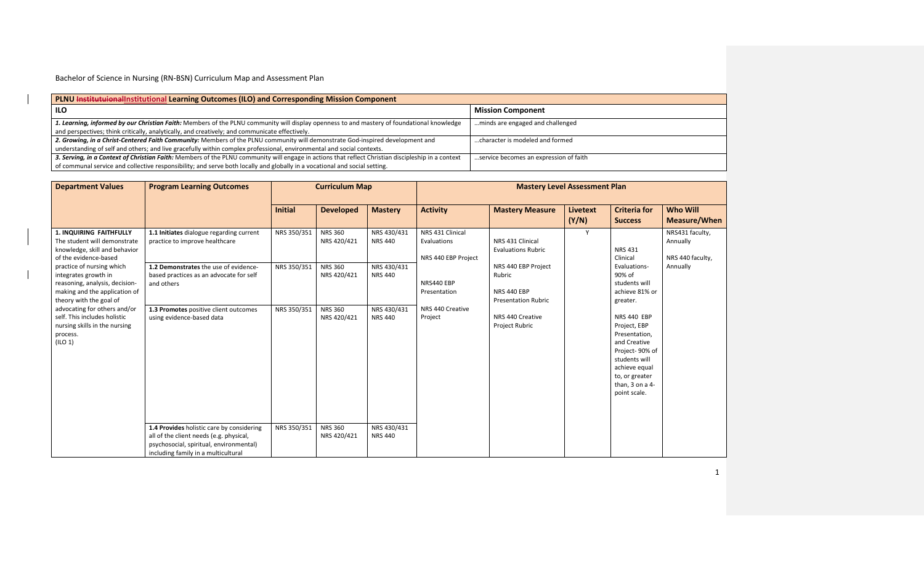| PLNU Institutuional Institutional Learning Outcomes (ILO) and Corresponding Mission Component                                                      |                                        |  |  |  |  |  |  |  |  |
|----------------------------------------------------------------------------------------------------------------------------------------------------|----------------------------------------|--|--|--|--|--|--|--|--|
| ILO                                                                                                                                                | <b>Mission Component</b>               |  |  |  |  |  |  |  |  |
| 1. Learning, informed by our Christian Faith: Members of the PLNU community will display openness to and mastery of foundational knowledge         | minds are engaged and challenged       |  |  |  |  |  |  |  |  |
| and perspectives; think critically, analytically, and creatively; and communicate effectively.                                                     |                                        |  |  |  |  |  |  |  |  |
| 2. Growing, in a Christ-Centered Faith Community: Members of the PLNU community will demonstrate God-inspired development and                      | character is modeled and formed        |  |  |  |  |  |  |  |  |
| understanding of self and others; and live gracefully within complex professional, environmental and social contexts.                              |                                        |  |  |  |  |  |  |  |  |
| 3. Serving, in a Context of Christian Faith: Members of the PLNU community will engage in actions that reflect Christian discipleship in a context | service becomes an expression of faith |  |  |  |  |  |  |  |  |
| of communal service and collective responsibility; and serve both locally and globally in a vocational and social setting.                         |                                        |  |  |  |  |  |  |  |  |

| <b>Department Values</b>                                                                                                                        | <b>Program Learning Outcomes</b>                                                                                                                                       | <b>Curriculum Map</b> |                               |                               |                                                        | <b>Mastery Level Assessment Plan</b>                                              |                   |                                                                                                                                                                       |                                                 |
|-------------------------------------------------------------------------------------------------------------------------------------------------|------------------------------------------------------------------------------------------------------------------------------------------------------------------------|-----------------------|-------------------------------|-------------------------------|--------------------------------------------------------|-----------------------------------------------------------------------------------|-------------------|-----------------------------------------------------------------------------------------------------------------------------------------------------------------------|-------------------------------------------------|
|                                                                                                                                                 |                                                                                                                                                                        | <b>Initial</b>        | <b>Developed</b>              | <b>Mastery</b>                | <b>Activity</b>                                        | <b>Mastery Measure</b>                                                            | Livetext<br>(Y/N) | <b>Criteria for</b><br><b>Success</b>                                                                                                                                 | <b>Who Will</b><br>Measure/When                 |
| <b>1. INQUIRING FAITHFULLY</b><br>The student will demonstrate<br>knowledge, skill and behavior<br>of the evidence-based                        | 1.1 Initiates dialogue regarding current<br>practice to improve healthcare                                                                                             | NRS 350/351           | <b>NRS 360</b><br>NRS 420/421 | NRS 430/431<br><b>NRS 440</b> | NRS 431 Clinical<br>Evaluations<br>NRS 440 EBP Project | NRS 431 Clinical<br><b>Evaluations Rubric</b>                                     | Y                 | <b>NRS 431</b><br>Clinical                                                                                                                                            | NRS431 faculty,<br>Annually<br>NRS 440 faculty, |
| practice of nursing which<br>integrates growth in<br>reasoning, analysis, decision-<br>making and the application of<br>theory with the goal of | 1.2 Demonstrates the use of evidence-<br>based practices as an advocate for self<br>and others                                                                         | NRS 350/351           | NRS 360<br>NRS 420/421        | NRS 430/431<br><b>NRS 440</b> | NRS440 EBP<br>Presentation                             | NRS 440 EBP Project<br>Rubric<br><b>NRS 440 EBP</b><br><b>Presentation Rubric</b> |                   | Evaluations-<br>90% of<br>students will<br>achieve 81% or<br>greater.                                                                                                 | Annually                                        |
| advocating for others and/or<br>self. This includes holistic<br>nursing skills in the nursing<br>process.<br>$($ ILO 1 $)$                      | 1.3 Promotes positive client outcomes<br>using evidence-based data                                                                                                     | NRS 350/351           | <b>NRS 360</b><br>NRS 420/421 | NRS 430/431<br><b>NRS 440</b> | NRS 440 Creative<br>Project                            | NRS 440 Creative<br>Project Rubric                                                |                   | NRS 440 EBP<br>Project, EBP<br>Presentation,<br>and Creative<br>Project-90% of<br>students will<br>achieve equal<br>to, or greater<br>than, 3 on a 4-<br>point scale. |                                                 |
|                                                                                                                                                 | 1.4 Provides holistic care by considering<br>all of the client needs (e.g. physical,<br>psychosocial, spiritual, environmental)<br>including family in a multicultural | NRS 350/351           | <b>NRS 360</b><br>NRS 420/421 | NRS 430/431<br><b>NRS 440</b> |                                                        |                                                                                   |                   |                                                                                                                                                                       |                                                 |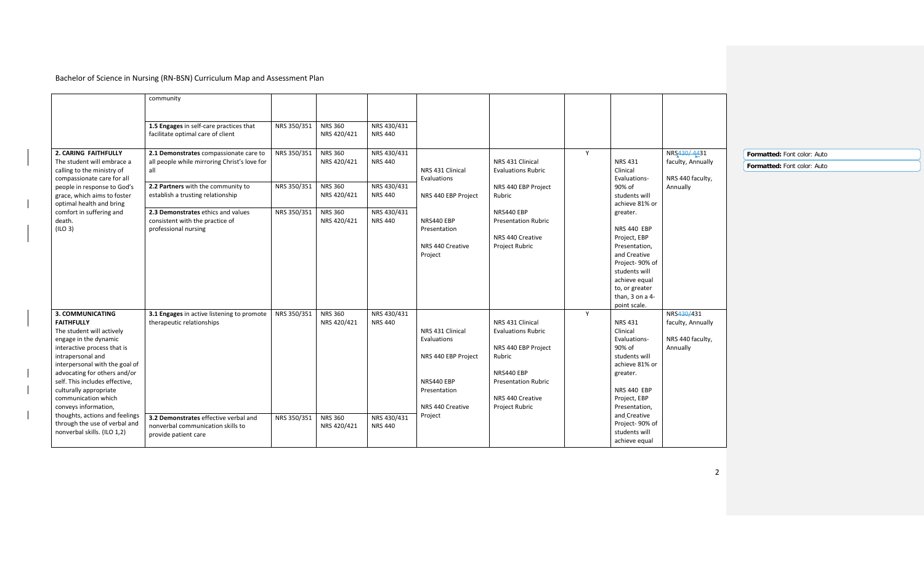|                                                                                                                                                                                                                                                                                                                                                                                                                                | community                                                                                                                                                                                                                                                                 |                                                                                                                                              |                                                                            |                                                                                                                     |                                                                                                                                                                  |   |                                                                                                                                                                                                                                                                                     |                                                                  |                                                            |
|--------------------------------------------------------------------------------------------------------------------------------------------------------------------------------------------------------------------------------------------------------------------------------------------------------------------------------------------------------------------------------------------------------------------------------|---------------------------------------------------------------------------------------------------------------------------------------------------------------------------------------------------------------------------------------------------------------------------|----------------------------------------------------------------------------------------------------------------------------------------------|----------------------------------------------------------------------------|---------------------------------------------------------------------------------------------------------------------|------------------------------------------------------------------------------------------------------------------------------------------------------------------|---|-------------------------------------------------------------------------------------------------------------------------------------------------------------------------------------------------------------------------------------------------------------------------------------|------------------------------------------------------------------|------------------------------------------------------------|
|                                                                                                                                                                                                                                                                                                                                                                                                                                | 1.5 Engages in self-care practices that<br>facilitate optimal care of client                                                                                                                                                                                              | <b>NRS 360</b><br>NRS 350/351<br>NRS 420/421                                                                                                 | NRS 430/431<br>NRS 440                                                     |                                                                                                                     |                                                                                                                                                                  |   |                                                                                                                                                                                                                                                                                     |                                                                  |                                                            |
| 2. CARING FAITHFULLY<br>The student will embrace a<br>calling to the ministry of<br>compassionate care for all<br>people in response to God's<br>grace, which aims to foster<br>optimal health and bring<br>comfort in suffering and<br>death.<br>(ILO 3)                                                                                                                                                                      | 2.1 Demonstrates compassionate care to<br>all people while mirroring Christ's love for<br>all<br>2.2 Partners with the community to<br>establish a trusting relationship<br>2.3 Demonstrates ethics and values<br>consistent with the practice of<br>professional nursing | NRS 350/351<br><b>NRS 360</b><br>NRS 420/421<br>NRS 350/351<br><b>NRS 360</b><br>NRS 420/421<br><b>NRS 360</b><br>NRS 350/351<br>NRS 420/421 | NRS 430/431<br>NRS 440<br>NRS 430/431<br>NRS 440<br>NRS 430/431<br>NRS 440 | NRS 431 Clinical<br>Evaluations<br>NRS 440 EBP Project<br>NRS440 EBP<br>Presentation<br>NRS 440 Creative<br>Project | NRS 431 Clinical<br><b>Evaluations Rubric</b><br>NRS 440 EBP Project<br>Rubric<br>NRS440 EBP<br><b>Presentation Rubric</b><br>NRS 440 Creative<br>Project Rubric | Y | <b>NRS 431</b><br>Clinical<br>Evaluations-<br>90% of<br>students will<br>achieve 81% or<br>greater.<br><b>NRS 440 EBP</b><br>Project, EBP<br>Presentation,<br>and Creative<br>Project-90% of<br>students will<br>achieve equal<br>to, or greater<br>than, 3 on a 4-<br>point scale. | NRS430/4431<br>faculty, Annually<br>NRS 440 faculty,<br>Annually | Formatted: Font color: Auto<br>Formatted: Font color: Auto |
| 3. COMMUNICATING<br><b>FAITHFULLY</b><br>The student will actively<br>engage in the dynamic<br>interactive process that is<br>intrapersonal and<br>interpersonal with the goal of<br>advocating for others and/or<br>self. This includes effective,<br>culturally appropriate<br>communication which<br>conveys information,<br>thoughts, actions and feelings<br>through the use of verbal and<br>nonverbal skills. (ILO 1,2) | 3.1 Engages in active listening to promote<br>therapeutic relationships<br>3.2 Demonstrates effective verbal and<br>nonverbal communication skills to<br>provide patient care                                                                                             | NRS 350/351<br><b>NRS 360</b><br>NRS 420/421<br><b>NRS 360</b><br>NRS 350/351<br>NRS 420/421                                                 | NRS 430/431<br><b>NRS 440</b><br>NRS 430/431<br><b>NRS 440</b>             | NRS 431 Clinical<br>Evaluations<br>NRS 440 EBP Project<br>NRS440 EBP<br>Presentation<br>NRS 440 Creative<br>Project | NRS 431 Clinical<br><b>Evaluations Rubric</b><br>NRS 440 EBP Project<br>Rubric<br>NRS440 EBP<br><b>Presentation Rubric</b><br>NRS 440 Creative<br>Project Rubric | Y | NRS 431<br>Clinical<br>Evaluations-<br>90% of<br>students will<br>achieve 81% or<br>greater.<br><b>NRS 440 EBP</b><br>Project, EBP<br>Presentation,<br>and Creative<br>Project-90% of<br>students will<br>achieve equal                                                             | NRS430/431<br>faculty, Annually<br>NRS 440 faculty,<br>Annually  |                                                            |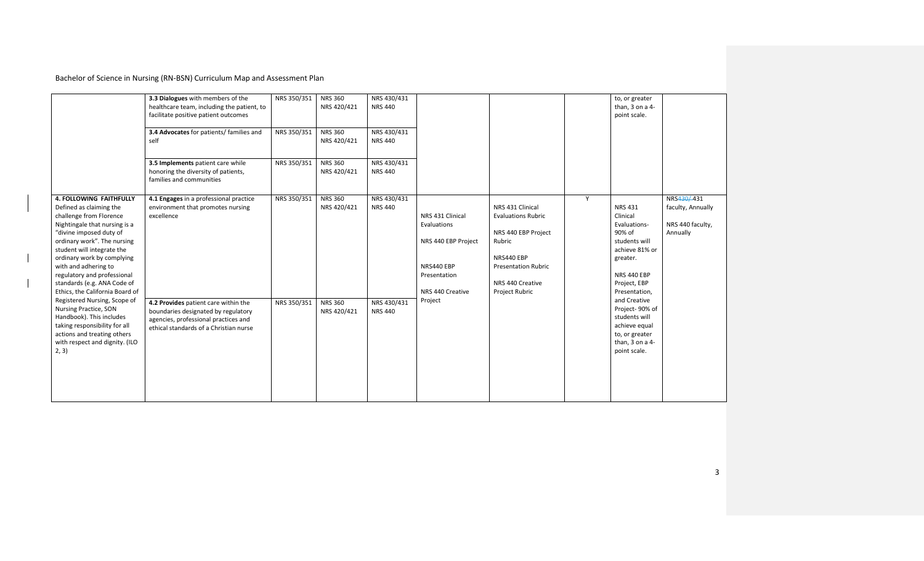|                                                                                                                                                                                                                                                                                                                                                                                                                                                                                                                                                                      | 3.3 Dialogues with members of the<br>healthcare team, including the patient, to<br>facilitate positive patient outcomes<br>3.4 Advocates for patients/ families and<br>self<br>3.5 Implements patient care while<br>honoring the diversity of patients,<br>families and communities | NRS 350/351<br>NRS 350/351<br>NRS 350/351 | <b>NRS 360</b><br>NRS 420/421<br><b>NRS 360</b><br>NRS 420/421<br><b>NRS 360</b><br>NRS 420/421 | NRS 430/431<br><b>NRS 440</b><br>NRS 430/431<br><b>NRS 440</b><br>NRS 430/431<br><b>NRS 440</b> |                                                                                                                     |                                                                                           |                                                                     | to, or greater<br>than, $3$ on a $4-$<br>point scale.                                                                 |                                                                                                                                                     |                                                                 |
|----------------------------------------------------------------------------------------------------------------------------------------------------------------------------------------------------------------------------------------------------------------------------------------------------------------------------------------------------------------------------------------------------------------------------------------------------------------------------------------------------------------------------------------------------------------------|-------------------------------------------------------------------------------------------------------------------------------------------------------------------------------------------------------------------------------------------------------------------------------------|-------------------------------------------|-------------------------------------------------------------------------------------------------|-------------------------------------------------------------------------------------------------|---------------------------------------------------------------------------------------------------------------------|-------------------------------------------------------------------------------------------|---------------------------------------------------------------------|-----------------------------------------------------------------------------------------------------------------------|-----------------------------------------------------------------------------------------------------------------------------------------------------|-----------------------------------------------------------------|
| <b>4. FOLLOWING FAITHFULLY</b><br>Defined as claiming the<br>challenge from Florence<br>Nightingale that nursing is a<br>"divine imposed duty of<br>ordinary work". The nursing<br>student will integrate the<br>ordinary work by complying<br>with and adhering to<br>regulatory and professional<br>standards (e.g. ANA Code of<br>Ethics, the California Board of<br>Registered Nursing, Scope of<br>Nursing Practice, SON<br>Handbook). This includes<br>taking responsibility for all<br>actions and treating others<br>with respect and dignity. (ILO<br>2, 3) | 4.1 Engages in a professional practice<br>environment that promotes nursing<br>excellence                                                                                                                                                                                           | NRS 350/351                               | <b>NRS 360</b><br>NRS 420/421                                                                   | NRS 430/431<br><b>NRS 440</b>                                                                   | NRS 431 Clinical<br>Evaluations<br>NRS 440 EBP Project<br>NRS440 EBP<br>Presentation<br>NRS 440 Creative<br>Project | NRS 431 Clinical<br><b>Evaluations Rubric</b><br>Rubric<br>NRS440 EBP<br>NRS 440 Creative | NRS 440 EBP Project<br><b>Presentation Rubric</b><br>Project Rubric | Y                                                                                                                     | NRS 431<br>Clinical<br>Evaluations-<br>90% of<br>students will<br>achieve 81% or<br>greater.<br><b>NRS 440 EBP</b><br>Project, EBP<br>Presentation, | NRS430/431<br>faculty, Annually<br>NRS 440 faculty,<br>Annually |
|                                                                                                                                                                                                                                                                                                                                                                                                                                                                                                                                                                      | 4.2 Provides patient care within the<br>boundaries designated by regulatory<br>agencies, professional practices and<br>ethical standards of a Christian nurse                                                                                                                       | NRS 350/351                               | <b>NRS 360</b><br>NRS 420/421                                                                   | NRS 430/431<br><b>NRS 440</b>                                                                   |                                                                                                                     |                                                                                           |                                                                     | and Creative<br>Project-90% of<br>students will<br>achieve equal<br>to, or greater<br>than, 3 on a 4-<br>point scale. |                                                                                                                                                     |                                                                 |